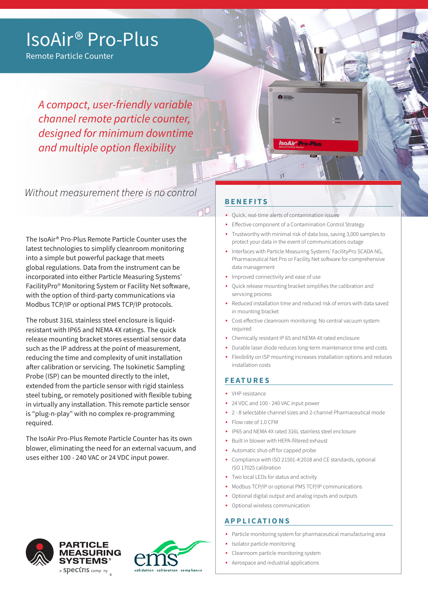# IsoAir® Pro-Plus

Remote Particle Counter

*A compact, user-friendly variable channel remote particle counter, designed for minimum downtime and multiple option flexibility*

Without measurement there is no control

The IsoAir® Pro-Plus Remote Particle Counter uses the latest technologies to simplify cleanroom monitoring into a simple but powerful package that meets global regulations. Data from the instrument can be incorporated into either Particle Measuring Systems' FacilityPro® Monitoring System or Facility Net software, with the option of third-party communications via Modbus TCP/IP or optional PMS TCP/IP protocols.

The robust 316L stainless steel enclosure is liquidresistant with IP65 and NEMA 4X ratings. The quick release mounting bracket stores essential sensor data such as the IP address at the point of measurement, reducing the time and complexity of unit installation after calibration or servicing. The Isokinetic Sampling Probe (ISP) can be mounted directly to the inlet, extended from the particle sensor with rigid stainless steel tubing, or remotely positioned with flexible tubing in virtually any installation. This remote particle sensor is "plug-n-play" with no complex re-programming required.

The IsoAir Pro-Plus Remote Particle Counter has its own blower, eliminating the need for an external vacuum, and uses either 100 - 240 VAC or 24 VDC input power.

# **BENEFITS**

- Quick, real-time alerts of contamination issues
- Effective component of a Contamination Control Strategy
- Trustworthy with minimal risk of data loss, saving 3,000 samples to protect your data in the event of communications outage
- Interfaces with Particle Measuring Systems' FacilityPro SCADA NG, Pharmaceutical Net Pro or Facility Net software for comprehensive data management
- Improved connectivity and ease of use
- Quick release mounting bracket simplifies the calibration and servicing process
- Reduced installation time and reduced risk of errors with data saved in mounting bracket
- Cost effective cleanroom monitoring: No central vacuum system required
- Chemically resistant IP 65 and NEMA 4X rated enclosure
- Durable laser diode reduces long-term maintenance time and costs
- Flexibility on ISP mounting increases installation options and reduces installation costs

### **FEATURES**

- VHP resistance
- 24 VDC and 100 240 VAC input power
- 2 8 selectable channel sizes and 2-channel Pharmaceutical mode
- Flow rate of 1.0 CFM
- IP65 and NEMA 4X rated 316L stainless steel enclosure
- Built in blower with HEPA-filtered exhaust
- Automatic shut-off for capped probe
- Compliance with ISO 21501-4:2018 and CE standards, optional ISO 17025 calibration
- Two local LEDs for status and activity
- Modbus TCP/IP or optional PMS TCP/IP communications
- Optional digital output and analog inputs and outputs
- Optional wireless communication

### **APPLICATIONS**

- Particle monitoring system for pharmaceutical manufacturing area
- Isolator particle monitoring
- Cleanroom particle monitoring system
- Aerospace and industrial applications